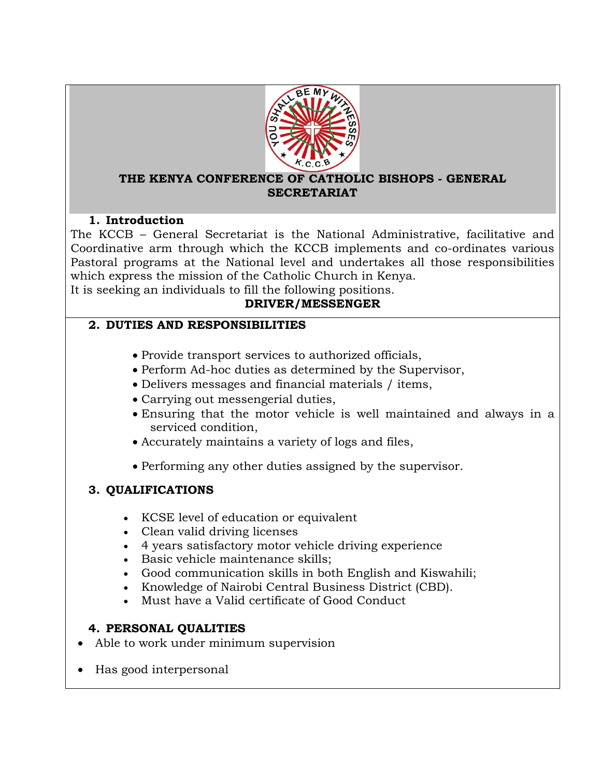

#### **THE KENYA CONFERENCE OF CATHOLIC BISHOPS - GENERAL SECRETARIAT**

#### **1. Introduction**

The KCCB – General Secretariat is the National Administrative, facilitative and Coordinative arm through which the KCCB implements and co-ordinates various Pastoral programs at the National level and undertakes all those responsibilities which express the mission of the Catholic Church in Kenya.

It is seeking an individuals to fill the following positions.

# **DRIVER/MESSENGER**

## **2. DUTIES AND RESPONSIBILITIES**

- Provide transport services to authorized officials,
- Perform Ad-hoc duties as determined by the Supervisor,
- Delivers messages and financial materials / items,
- Carrying out messengerial duties,
- Ensuring that the motor vehicle is well maintained and always in a serviced condition,
- Accurately maintains a variety of logs and files,
- Performing any other duties assigned by the supervisor.

## **3. QUALIFICATIONS**

- KCSE level of education or equivalent
- Clean valid driving licenses
- 4 years satisfactory motor vehicle driving experience
- Basic vehicle maintenance skills;
- Good communication skills in both English and Kiswahili;
- Knowledge of Nairobi Central Business District (CBD).
- Must have a Valid certificate of Good Conduct

## **4. PERSONAL QUALITIES**

- Able to work under minimum supervision
- Has good interpersonal